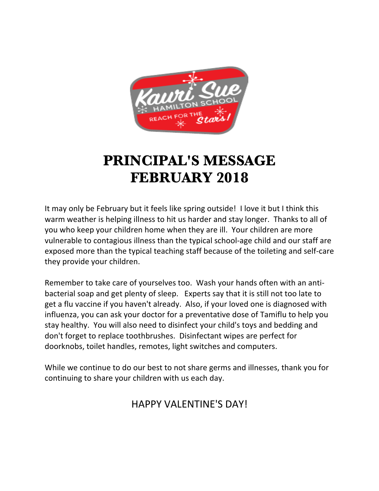

## **PRINCIPAL'S MESSAGE FEBRUARY 2018**

It may only be February but it feels like spring outside! I love it but I think this warm weather is helping illness to hit us harder and stay longer. Thanks to all of you who keep your children home when they are ill. Your children are more vulnerable to contagious illness than the typical school-age child and our staff are exposed more than the typical teaching staff because of the toileting and self-care they provide your children.

Remember to take care of yourselves too. Wash your hands often with an antibacterial soap and get plenty of sleep. Experts say that it is still not too late to get a flu vaccine if you haven't already. Also, if your loved one is diagnosed with influenza, you can ask your doctor for a preventative dose of Tamiflu to help you stay healthy. You will also need to disinfect your child's toys and bedding and don't forget to replace toothbrushes. Disinfectant wipes are perfect for doorknobs, toilet handles, remotes, light switches and computers.

While we continue to do our best to not share germs and illnesses, thank you for continuing to share your children with us each day.

## HAPPY VAI FNTINF'S DAY!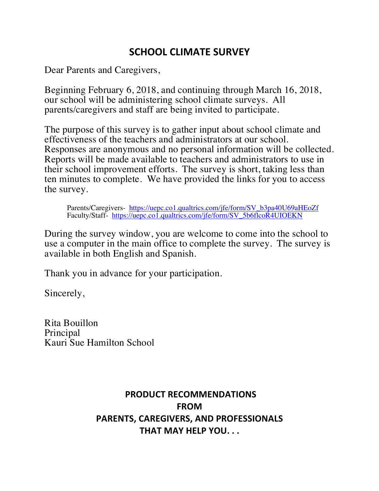## **SCHOOL CLIMATE SURVEY**

Dear Parents and Caregivers,

Beginning February 6, 2018, and continuing through March 16, 2018, our school will be administering school climate surveys. All parents/caregivers and staff are being invited to participate.

The purpose of this survey is to gather input about school climate and effectiveness of the teachers and administrators at our school. Responses are anonymous and no personal information will be collected. Reports will be made available to teachers and administrators to use in their school improvement efforts. The survey is short, taking less than ten minutes to complete. We have provided the links for you to access the survey.

Parents/Caregivers- https://uepc.co1.qualtrics.com/jfe/form/SV\_b3pa40U69aHEoZf Faculty/Staff- https://uepc.co1.qualtrics.com/jfe/form/SV\_5b6flcoR4UIOEKN

During the survey window, you are welcome to come into the school to use a computer in the main office to complete the survey. The survey is available in both English and Spanish.

Thank you in advance for your participation.

Sincerely,

Rita Bouillon Principal Kauri Sue Hamilton School

## **PRODUCT RECOMMENDATIONS FROM PARENTS, CAREGIVERS, AND PROFESSIONALS THAT MAY HELP YOU...**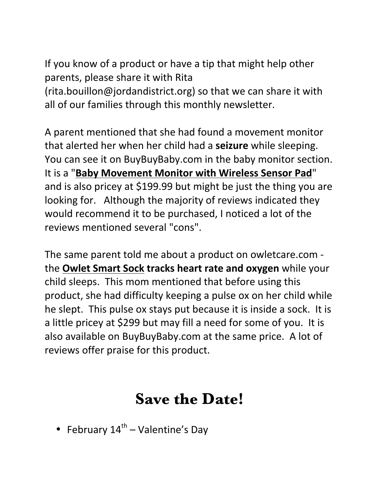If you know of a product or have a tip that might help other parents, please share it with Rita

 $(rita.bouillon@jordan district.org)$  so that we can share it with all of our families through this monthly newsletter.

A parent mentioned that she had found a movement monitor that alerted her when her child had a **seizure** while sleeping. You can see it on BuyBuyBaby.com in the baby monitor section. It is a "**Baby Movement Monitor with Wireless Sensor Pad**" and is also pricey at \$199.99 but might be just the thing you are looking for. Although the majority of reviews indicated they would recommend it to be purchased, I noticed a lot of the reviews mentioned several "cons".

The same parent told me about a product on owletcare.com **the Owlet Smart Sock tracks heart rate and oxygen** while your child sleeps. This mom mentioned that before using this product, she had difficulty keeping a pulse ox on her child while he slept. This pulse ox stays put because it is inside a sock. It is a little pricey at \$299 but may fill a need for some of you. It is also available on BuyBuyBaby.com at the same price. A lot of reviews offer praise for this product.

# **Save the Date!**

• February  $14^{\text{th}}$  – Valentine's Dav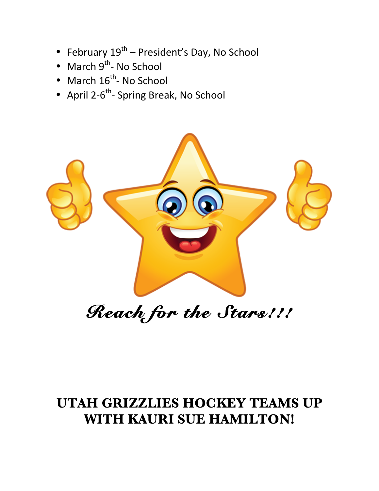- February  $19^{th}$  President's Day, No School
- March  $9^{th}$  No School
- March  $16^{th}$  No School
- April 2- $6^{th}$  Spring Break, No School



# *Reach for the Stars!!!*

## **UTAH GRIZZLIES HOCKEY TEAMS UP WITH KAURI SUE HAMILTON!**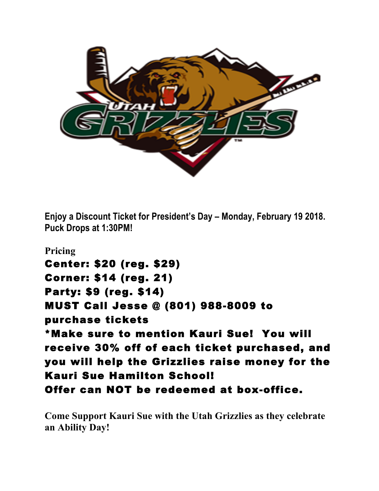

**Enjoy a Discount Ticket for President's Day – Monday, February 19 2018. Puck Drops at 1:30PM!**

**Pricing** Center: \$20 (reg. \$29) Corner: \$14 (reg. 21) Party: \$9 (reg. \$14) MUST Call Jesse @ (801) 988-8009 to purchase tickets \*Make sure to mention Kauri Sue! You will receive 30% off of each ticket purchased, and you will help the Grizzlies raise money for the Kauri Sue Hamilton School! Offer can NOT be redeemed at box-office.

**Come Support Kauri Sue with the Utah Grizzlies as they celebrate an Ability Day!**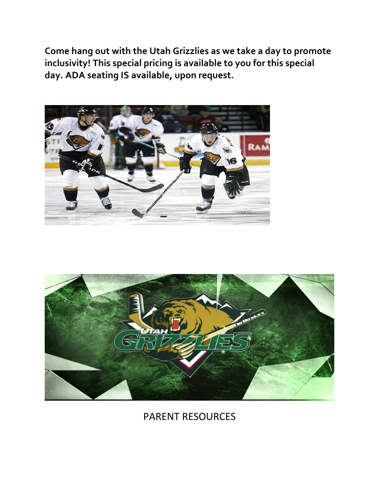Come hang out with the Utah Grizzlies as we take a day to promote inclusivity! This special pricing is available to you for this special day. ADA seating IS available, upon request.





## PARENT RESOURCES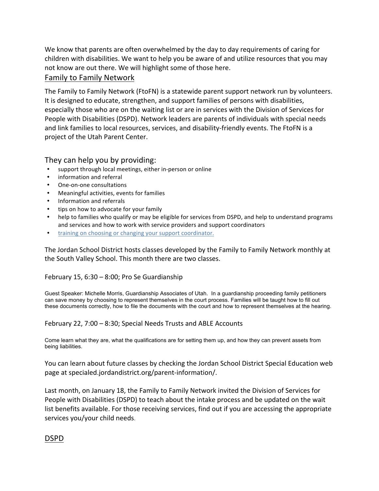We know that parents are often overwhelmed by the day to day requirements of caring for children with disabilities. We want to help you be aware of and utilize resources that you may not know are out there. We will highlight some of those here.

#### Family to Family Network

The Family to Family Network (FtoFN) is a statewide parent support network run by volunteers. It is designed to educate, strengthen, and support families of persons with disabilities, especially those who are on the waiting list or are in services with the Division of Services for People with Disabilities (DSPD). Network leaders are parents of individuals with special needs and link families to local resources, services, and disability-friendly events. The FtoFN is a project of the Utah Parent Center.

#### They can help you by providing:

- support through local meetings, either in-person or online
- information and referral
- One-on-one consultations
- Meaningful activities, events for families
- Information and referrals
- tips on how to advocate for your family
- help to families who qualify or may be eligible for services from DSPD, and help to understand programs and services and how to work with service providers and support coordinators
- training on choosing or changing your support coordinator.

The Jordan School District hosts classes developed by the Family to Family Network monthly at the South Valley School. This month there are two classes.

#### February 15,  $6:30 - 8:00$ ; Pro Se Guardianship

Guest Speaker: Michelle Morris, Guardianship Associates of Utah. In a guardianship proceeding family petitioners can save money by choosing to represent themselves in the court process. Families will be taught how to fill out these documents correctly, how to file the documents with the court and how to represent themselves at the hearing.

#### February 22,  $7:00 - 8:30$ ; Special Needs Trusts and ABLE Accounts

Come learn what they are, what the qualifications are for setting them up, and how they can prevent assets from being liabilities.

You can learn about future classes by checking the Jordan School District Special Education web page at specialed.jordandistrict.org/parent-information/.

Last month, on January 18, the Family to Family Network invited the Division of Services for People with Disabilities (DSPD) to teach about the intake process and be updated on the wait list benefits available. For those receiving services, find out if you are accessing the appropriate services you/your child needs.

#### DSPD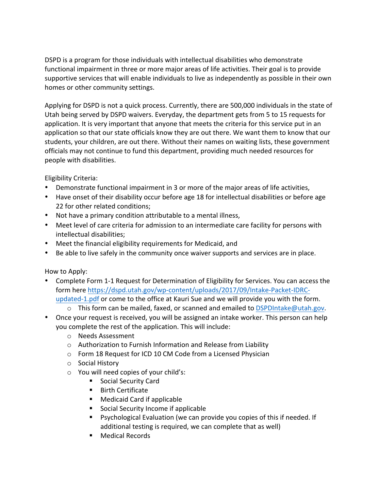DSPD is a program for those individuals with intellectual disabilities who demonstrate functional impairment in three or more major areas of life activities. Their goal is to provide supportive services that will enable individuals to live as independently as possible in their own homes or other community settings.

Applying for DSPD is not a quick process. Currently, there are 500,000 individuals in the state of Utah being served by DSPD waivers. Everyday, the department gets from 5 to 15 requests for application. It is very important that anyone that meets the criteria for this service put in an application so that our state officials know they are out there. We want them to know that our students, your children, are out there. Without their names on waiting lists, these government officials may not continue to fund this department, providing much needed resources for people with disabilities.

Eligibility Criteria:

- Demonstrate functional impairment in 3 or more of the major areas of life activities,
- Have onset of their disability occur before age 18 for intellectual disabilities or before age 22 for other related conditions;
- Not have a primary condition attributable to a mental illness,
- Meet level of care criteria for admission to an intermediate care facility for persons with intellectual disabilities;
- Meet the financial eligibility requirements for Medicaid, and
- Be able to live safely in the community once waiver supports and services are in place.

How to Apply:

- Complete Form 1-1 Request for Determination of Eligibility for Services. You can access the form here https://dspd.utah.gov/wp-content/uploads/2017/09/Intake-Packet-IDRCupdated-1.pdf or come to the office at Kauri Sue and we will provide you with the form.
	- $\circ$  This form can be mailed, faxed, or scanned and emailed to DSPDIntake@utah.gov.
- Once your request is received, you will be assigned an intake worker. This person can help you complete the rest of the application. This will include:
	- o Needs Assessment
	- $\circ$  Authorization to Furnish Information and Release from Liability
	- o Form 18 Request for ICD 10 CM Code from a Licensed Physician
	- o Social History
	- $\circ$  You will need copies of your child's:
		- Social Security Card
		- **Birth Certificate**
		- Medicaid Card if applicable
		- **EXEC** Social Security Income if applicable
		- Psychological Evaluation (we can provide you copies of this if needed. If additional testing is required, we can complete that as well)
		- Medical Records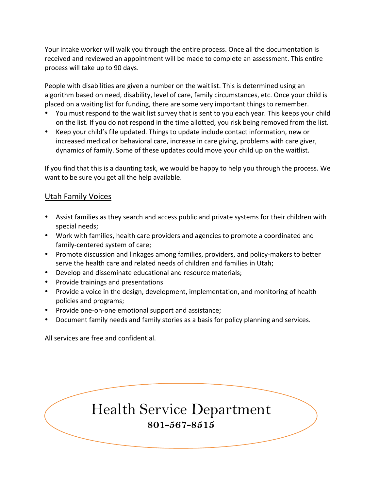Your intake worker will walk you through the entire process. Once all the documentation is received and reviewed an appointment will be made to complete an assessment. This entire process will take up to 90 days.

People with disabilities are given a number on the waitlist. This is determined using an algorithm based on need, disability, level of care, family circumstances, etc. Once your child is placed on a waiting list for funding, there are some very important things to remember.

- You must respond to the wait list survey that is sent to you each year. This keeps your child on the list. If you do not respond in the time allotted, you risk being removed from the list.
- Keep your child's file updated. Things to update include contact information, new or increased medical or behavioral care, increase in care giving, problems with care giver, dynamics of family. Some of these updates could move your child up on the waitlist.

If you find that this is a daunting task, we would be happy to help you through the process. We want to be sure you get all the help available.

#### Utah Family Voices

- Assist families as they search and access public and private systems for their children with special needs;
- Work with families, health care providers and agencies to promote a coordinated and family-centered system of care;
- Promote discussion and linkages among families, providers, and policy-makers to better serve the health care and related needs of children and families in Utah;
- Develop and disseminate educational and resource materials;
- Provide trainings and presentations
- Provide a voice in the design, development, implementation, and monitoring of health policies and programs;
- Provide one-on-one emotional support and assistance;
- Document family needs and family stories as a basis for policy planning and services.

All services are free and confidential.

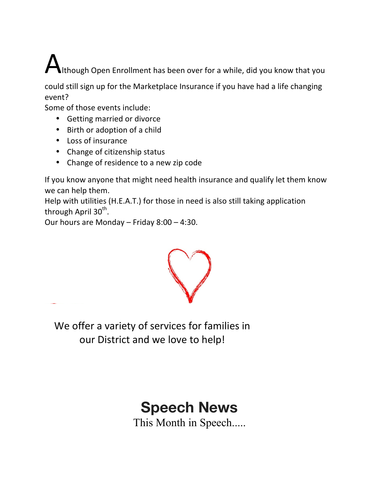$\bigwedge$ Ithough Open Enrollment has been over for a while, did you know that you

could still sign up for the Marketplace Insurance if you have had a life changing event?

Some of those events include:

- Getting married or divorce
- Birth or adoption of a child
- Loss of insurance
- Change of citizenship status
- Change of residence to a new zip code

If you know anyone that might need health insurance and qualify let them know we can help them.

Help with utilities (H.E.A.T.) for those in need is also still taking application through April 30<sup>th</sup>.

Our hours are Monday – Friday  $8:00 - 4:30$ .



We offer a variety of services for families in our District and we love to help!

# **Speech News**

This Month in Speech.....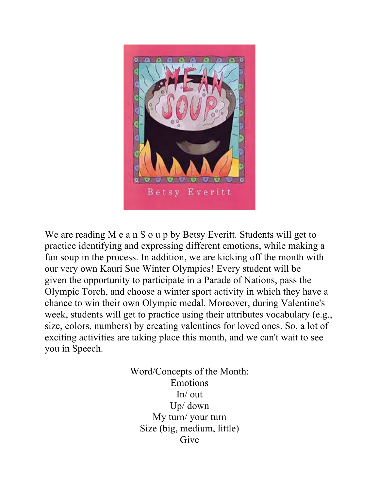

We are reading M e a n S o u p by Betsy Everitt. Students will get to practice identifying and expressing different emotions, while making a fun soup in the process. In addition, we are kicking off the month with our very own Kauri Sue Winter Olympics! Every student will be given the opportunity to participate in a Parade of Nations, pass the Olympic Torch, and choose a winter sport activity in which they have a chance to win their own Olympic medal. Moreover, during Valentine's week, students will get to practice using their attributes vocabulary (e.g., size, colors, numbers) by creating valentines for loved ones. So, a lot of exciting activities are taking place this month, and we can't wait to see you in Speech.

> Word/Concepts of the Month: Emotions In/ out Up/ down My turn/ your turn Size (big, medium, little) Give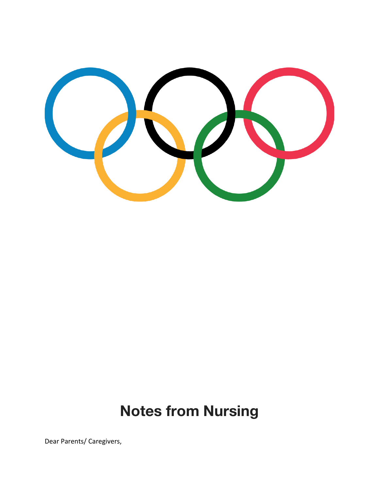

# **Notes from Nursing**

Dear Parents/ Caregivers,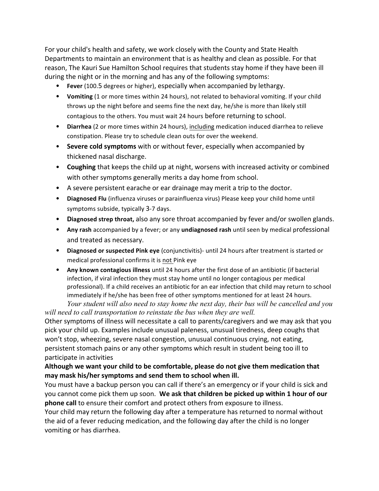For your child's health and safety, we work closely with the County and State Health Departments to maintain an environment that is as healthy and clean as possible. For that reason, The Kauri Sue Hamilton School requires that students stay home if they have been ill during the night or in the morning and has any of the following symptoms:

- **Fever** (100.5 degrees or higher), especially when accompanied by lethargy.
- Vomiting (1 or more times within 24 hours), not related to behavioral vomiting. If your child throws up the night before and seems fine the next day, he/she is more than likely still contagious to the others. You must wait 24 hours before returning to school.
- Diarrhea (2 or more times within 24 hours), including medication induced diarrhea to relieve constipation. Please try to schedule clean outs for over the weekend.
- Severe cold symptoms with or without fever, especially when accompanied by thickened nasal discharge.
- **Coughing** that keeps the child up at night, worsens with increased activity or combined with other symptoms generally merits a day home from school.
- A severe persistent earache or ear drainage may merit a trip to the doctor.
- Diagnosed Flu (influenza viruses or parainfluenza virus) Please keep your child home until symptoms subside, typically 3-7 days.
- Diagnosed strep throat, also any sore throat accompanied by fever and/or swollen glands.
- Any rash accompanied by a fever; or any undiagnosed rash until seen by medical professional and treated as necessary.
- Diagnosed or suspected Pink eye (conjunctivitis)- until 24 hours after treatment is started or medical professional confirms it is not Pink eye
- Any known contagious illness until 24 hours after the first dose of an antibiotic (if bacterial infection, if viral infection they must stay home until no longer contagious per medical professional). If a child receives an antibiotic for an ear infection that child may return to school immediately if he/she has been free of other symptoms mentioned for at least 24 hours. *Your student will also need to stay home the next day, their bus will be cancelled and you*

*will need to call transportation to reinstate the bus when they are well.* Other symptoms of illness will necessitate a call to parents/caregivers and we may ask that you pick your child up. Examples include unusual paleness, unusual tiredness, deep coughs that won't stop, wheezing, severe nasal congestion, unusual continuous crying, not eating, persistent stomach pains or any other symptoms which result in student being too ill to participate in activities

#### Although we want your child to be comfortable, please do not give them medication that may mask his/her symptoms and send them to school when ill.

You must have a backup person you can call if there's an emergency or if your child is sick and you cannot come pick them up soon. We ask that children be picked up within 1 hour of our **phone call** to ensure their comfort and protect others from exposure to illness.

Your child may return the following day after a temperature has returned to normal without the aid of a fever reducing medication, and the following day after the child is no longer vomiting or has diarrhea.